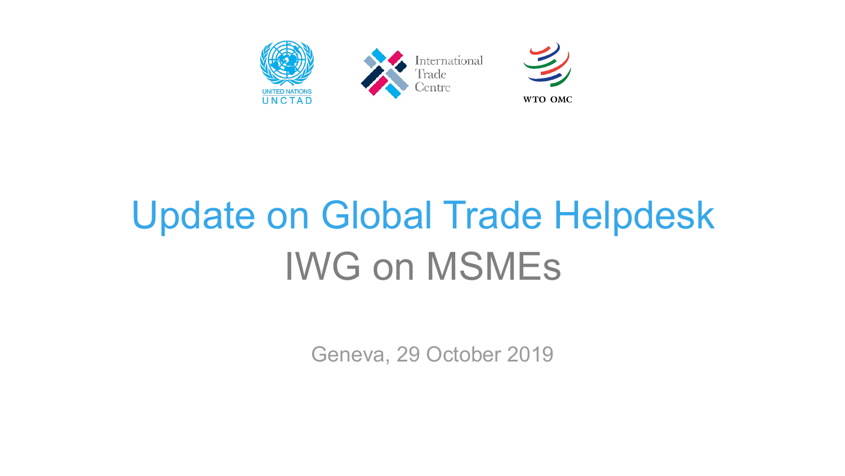

# Update on Global Trade Helpdesk IWG on MSMEs

Geneva, 29 October 2019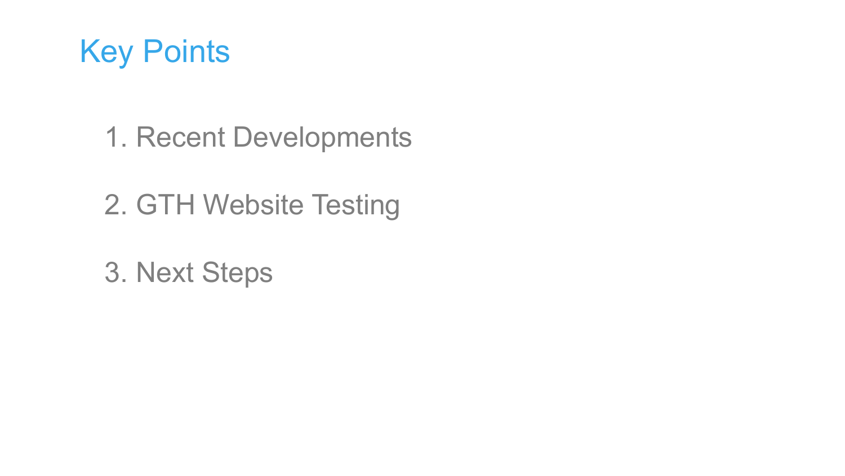

- 1. Recent Developments
- 2. GTH Website Testing
- 3. Next Steps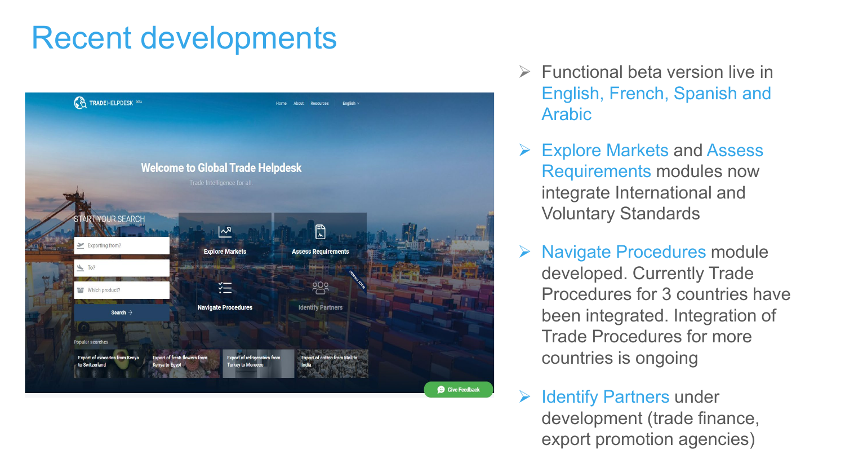### Recent developments



- $\triangleright$  Functional beta version live in English, French, Spanish and Arabic
- Explore Markets and Assess Requirements modules now integrate International and Voluntary Standards
- ▶ Navigate Procedures module developed. Currently Trade Procedures for 3 countries have been integrated. Integration of Trade Procedures for more countries is ongoing

 $\triangleright$  Identify Partners under development (trade finance, export promotion agencies)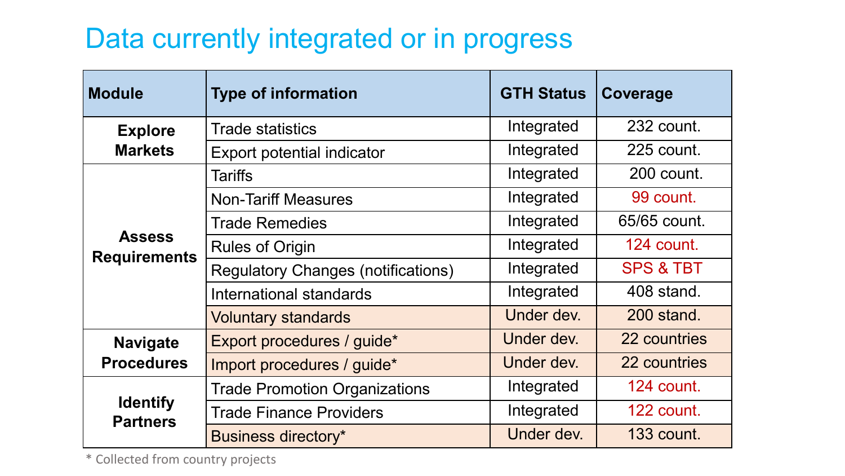### Data currently integrated or in progress

| <b>Module</b>                        | <b>Type of information</b>                | <b>GTH Status</b> | Coverage             |
|--------------------------------------|-------------------------------------------|-------------------|----------------------|
| <b>Explore</b><br><b>Markets</b>     | <b>Trade statistics</b>                   | Integrated        | 232 count.           |
|                                      | <b>Export potential indicator</b>         | Integrated        | 225 count.           |
| <b>Assess</b><br><b>Requirements</b> | <b>Tariffs</b>                            | Integrated        | 200 count.           |
|                                      | <b>Non-Tariff Measures</b>                | Integrated        | 99 count.            |
|                                      | <b>Trade Remedies</b>                     | Integrated        | 65/65 count.         |
|                                      | <b>Rules of Origin</b>                    | Integrated        | 124 count.           |
|                                      | <b>Regulatory Changes (notifications)</b> | Integrated        | <b>SPS &amp; TBT</b> |
|                                      | International standards                   | Integrated        | 408 stand.           |
|                                      | <b>Voluntary standards</b>                | Under dev.        | 200 stand.           |
| <b>Navigate</b><br><b>Procedures</b> | Export procedures / guide*                | Under dev.        | 22 countries         |
|                                      | Import procedures / guide*                | Under dev.        | 22 countries         |
| <b>Identify</b><br><b>Partners</b>   | <b>Trade Promotion Organizations</b>      | Integrated        | 124 count.           |
|                                      | <b>Trade Finance Providers</b>            | Integrated        | 122 count.           |
|                                      | <b>Business directory*</b>                | Under dev.        | <b>133 count.</b>    |

\* Collected from country projects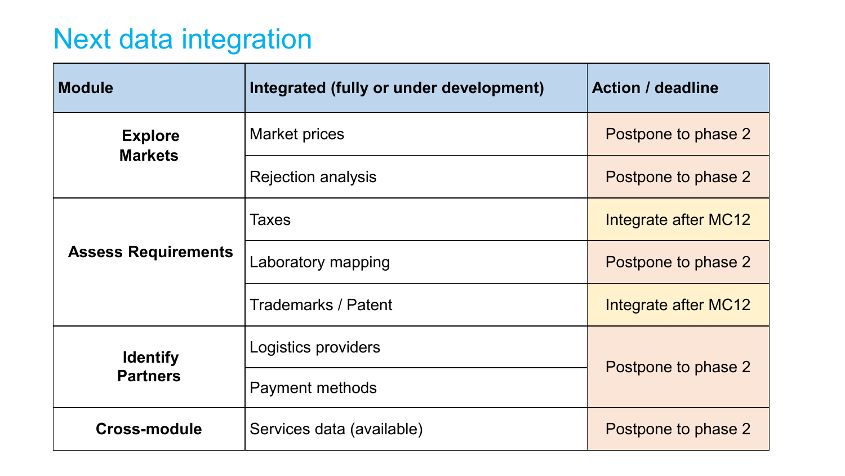### Next data integration

| <b>Module</b>                    | Integrated (fully or under development) | <b>Action / deadline</b> |  |
|----------------------------------|-----------------------------------------|--------------------------|--|
| <b>Explore</b><br><b>Markets</b> | Market prices                           | Postpone to phase 2      |  |
|                                  | <b>Rejection analysis</b>               | Postpone to phase 2      |  |
|                                  | <b>Taxes</b>                            | Integrate after MC12     |  |
| <b>Assess Requirements</b>       | Laboratory mapping                      | Postpone to phase 2      |  |
|                                  | Trademarks / Patent                     | Integrate after MC12     |  |
| <b>Identify</b>                  | Logistics providers                     |                          |  |
| <b>Partners</b>                  | Payment methods                         | Postpone to phase 2      |  |
| <b>Cross-module</b>              | Services data (available)               | Postpone to phase 2      |  |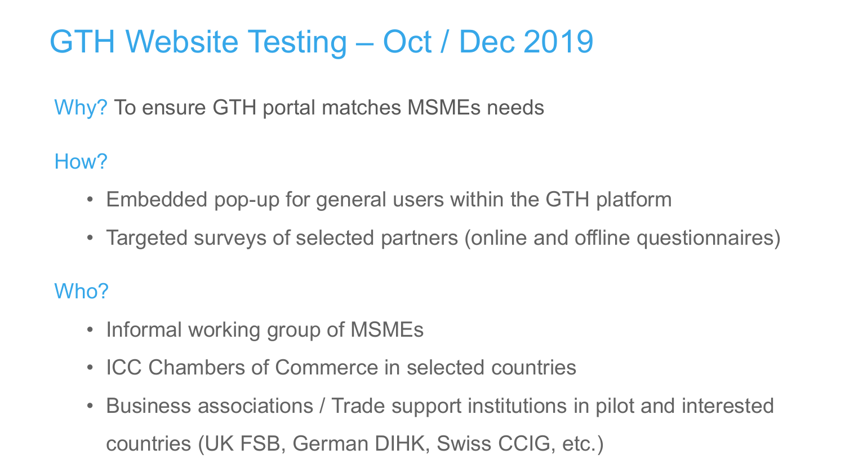## GTH Website Testing – Oct / Dec 2019

Why? To ensure GTH portal matches MSMEs needs

How?

- Embedded pop-up for general users within the GTH platform
- Targeted surveys of selected partners (online and offline questionnaires)

Who?

- Informal working group of MSMEs
- ICC Chambers of Commerce in selected countries
- Business associations / Trade support institutions in pilot and interested countries (UK FSB, German DIHK, Swiss CCIG, etc.)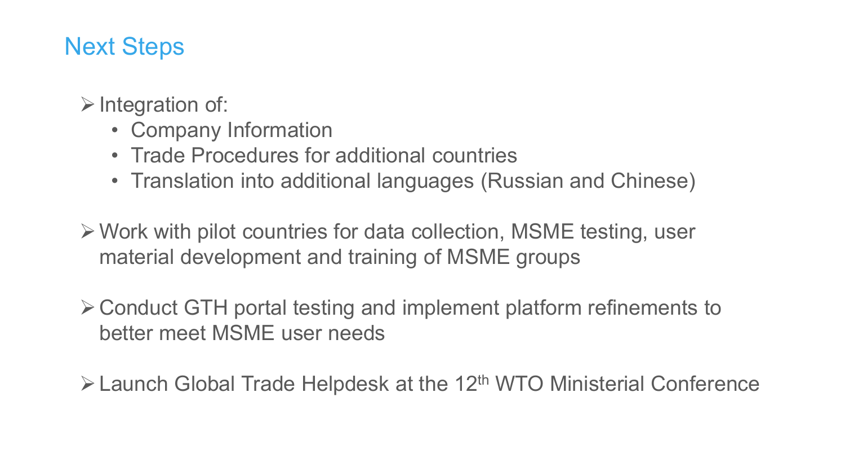#### Next Steps

 $\triangleright$  Integration of:

- Company Information
- Trade Procedures for additional countries
- Translation into additional languages (Russian and Chinese)

Work with pilot countries for data collection, MSME testing, user material development and training of MSME groups

Conduct GTH portal testing and implement platform refinements to better meet MSME user needs

 $\triangleright$  Launch Global Trade Helpdesk at the 12<sup>th</sup> WTO Ministerial Conference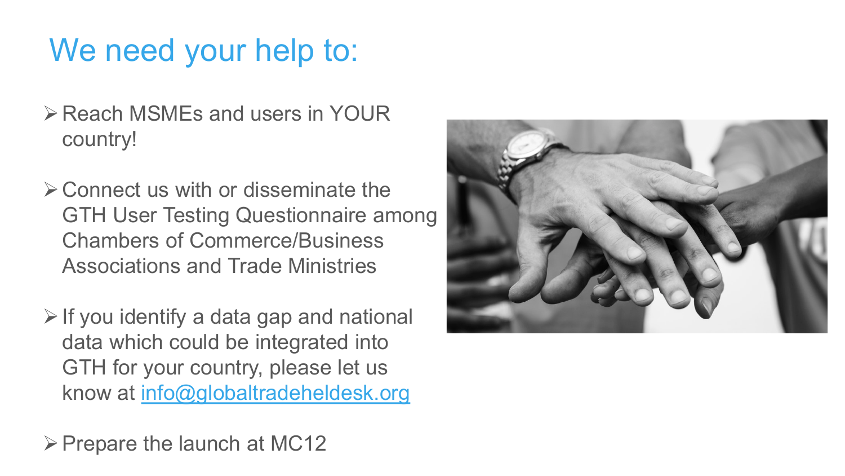### We need your help to:

- Reach MSMEs and users in YOUR country!
- $\triangleright$  Connect us with or disseminate the GTH User Testing Questionnaire among Chambers of Commerce/Business Associations and Trade Ministries
- $\triangleright$  If you identify a data gap and national data which could be integrated into GTH for your country, please let us know at [info@globaltradeheldesk.org](mailto:info@globaltradeheldesk.org)

 $\triangleright$  Prepare the launch at MC12

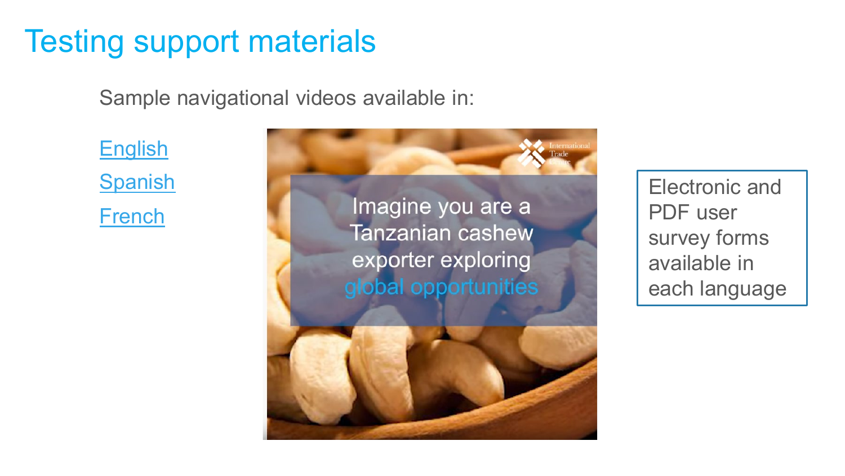### Testing support materials

Sample navigational videos available in:

**[English](https://youtu.be/dVT0y8rCcbU) [Spanish](https://www.youtube.com/watch?v=MLSbw9EsLgQ)** [French](https://www.youtube.com/watch?v=zE1umyHTAcU)

Imagine you are a **Tanzanian cashew** exporter exploring global opportunities

Electronic and PDF user survey forms available in each language